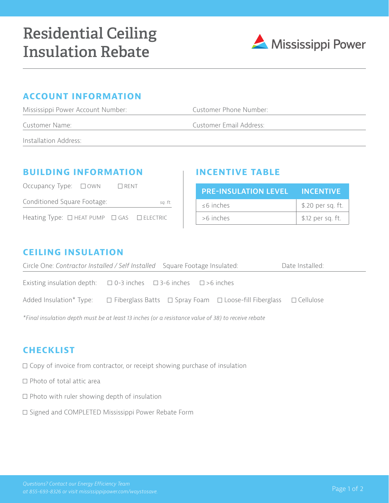

# **ACCOUNT INFORMATION**

| Mississippi Power Account Number: | Customer Phone Number:  |  |
|-----------------------------------|-------------------------|--|
| Customer Name:                    | Customer Email Address: |  |
| Installation Address:             |                         |  |

### **BUILDING INFORMATION INCENTIVE TABLE**

| Occupancy Type: $\Box$ OWN $\Box$ RENT                    |  |         |
|-----------------------------------------------------------|--|---------|
| Conditioned Square Footage:                               |  | sq. ft. |
| Heating Type: $\Box$ HEAT PUMP $\Box$ GAS $\Box$ ELECTRIC |  |         |

| PRE-INSULATION LEVEL INCENTIVE |                   |  |  |
|--------------------------------|-------------------|--|--|
| $<$ 6 inches                   | \$.20 per sq. ft. |  |  |
| >6 inches                      | \$.12 per sq. ft. |  |  |

### **CEILING INSULATION**

| Circle One: Contractor Installed / Self Installed Square Footage Insulated:                                                 | Date Installed: |
|-----------------------------------------------------------------------------------------------------------------------------|-----------------|
| Existing insulation depth: $\Box$ 0-3 inches $\Box$ 3-6 inches $\Box$ >6 inches                                             |                 |
| Added Insulation* Type: $\square$ Fiberglass Batts $\square$ Spray Foam $\square$ Loose-fill Fiberglass $\square$ Cellulose |                 |

*\*Final insulation depth must be at least 13 inches (or a resistance value of 38) to receive rebate*

# **CHECKLIST**

 $\Box$  Copy of invoice from contractor, or receipt showing purchase of insulation

- $\Box$  Photo of total attic area
- $\Box$  Photo with ruler showing depth of insulation
- □ Signed and COMPLETED Mississippi Power Rebate Form